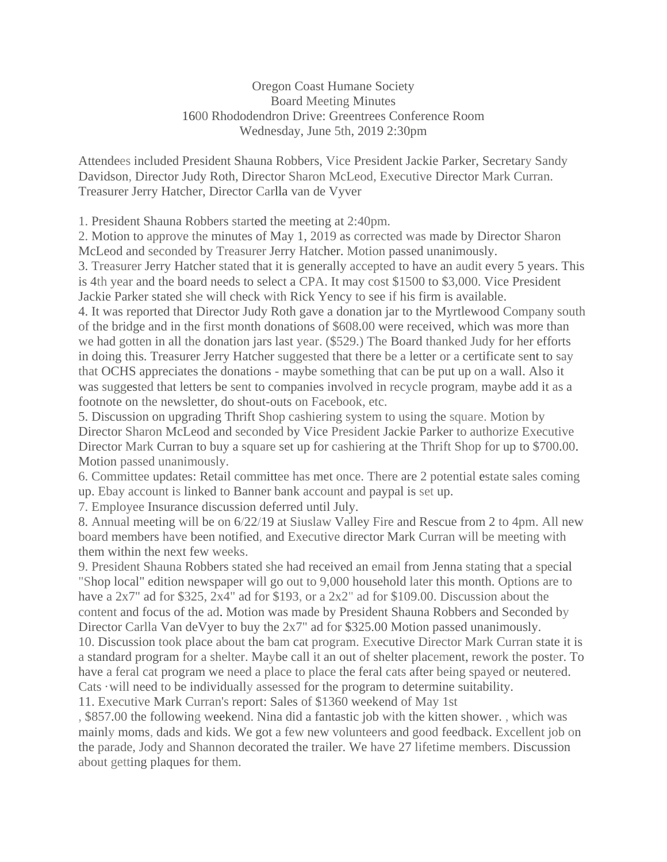Oregon Coast Humane Society Board Meeting Minutes 1600 Rhododendron Drive: Greentrees Conference Room Wednesday, June 5th, 2019 2:30pm

Attendees included President Shauna Robbers, Vice President Jackie Parker, Secretary Sandy Davidson, Director Judy Roth, Director Sharon McLeod, Executive Director Mark Curran. Treasurer Jerry Hatcher, Director Carlla van de Vyver

1. President Shauna Robbers started the meeting at 2:40pm.

2. Motion to approve the minutes of May 1, 2019 as corrected was made by Director Sharon McLeod and seconded by Treasurer Jerry Hatcher. Motion passed unanimously.

3. Treasurer Jerry Hatcher stated that it is generally accepted to have an audit every 5 years. This is 4th year and the board needs to select a CPA. It may cost \$1500 to \$3,000. Vice President Jackie Parker stated she will check with Rick Yency to see if his firm is available.

4. It was reported that Director Judy Roth gave a donation jar to the Myrtlewood Company south of the bridge and in the first month donations of \$608.00 were received, which was more than we had gotten in all the donation jars last year. (\$529.) The Board thanked Judy for her efforts in doing this. Treasurer Jerry Hatcher suggested that there be a letter or a certificate sent to say that OCHS appreciates the donations - maybe something that can be put up on a wall. Also it was suggested that letters be sent to companies involved in recycle program, maybe add it as a footnote on the newsletter, do shout-outs on Facebook, etc.

5. Discussion on upgrading Thrift Shop cashiering system to using the square. Motion by Director Sharon McLeod and seconded by Vice President Jackie Parker to authorize Executive Director Mark Curran to buy a square set up for cashiering at the Thrift Shop for up to \$700.00. Motion passed unanimously.

6. Committee updates: Retail committee has met once. There are 2 potential estate sales coming up. Ebay account is linked to Banner bank account and paypal is set up.

7. Employee Insurance discussion deferred until July.

8. Annual meeting will be on 6/22/19 at Siuslaw Valley Fire and Rescue from 2 to 4pm. All new board members have been notified, and Executive director Mark Curran will be meeting with them within the next few weeks.

9. President Shauna Robbers stated she had received an email from Jenna stating that a special "Shop local" edition newspaper will go out to 9,000 household later this month. Options are to have a 2x7" ad for \$325, 2x4" ad for \$193, or a 2x2" ad for \$109.00. Discussion about the content and focus of the ad. Motion was made by President Shauna Robbers and Seconded by Director Carlla Van deVyer to buy the 2x7" ad for \$325.00 Motion passed unanimously. 10. Discussion took place about the bam cat program. Executive Director Mark Curran state it is a standard program for a shelter. Maybe call it an out of shelter placement, rework the poster. To have a feral cat program we need a place to place the feral cats after being spayed or neutered. Cats ·will need to be individually assessed for the program to determine suitability.

11. Executive Mark Curran's report: Sales of \$1360 weekend of May 1st

, \$857.00 the following weekend. Nina did a fantastic job with the kitten shower. , which was mainly moms, dads and kids. We got a few new volunteers and good feedback. Excellent job on the parade, Jody and Shannon decorated the trailer. We have 27 lifetime members. Discussion about getting plaques for them.